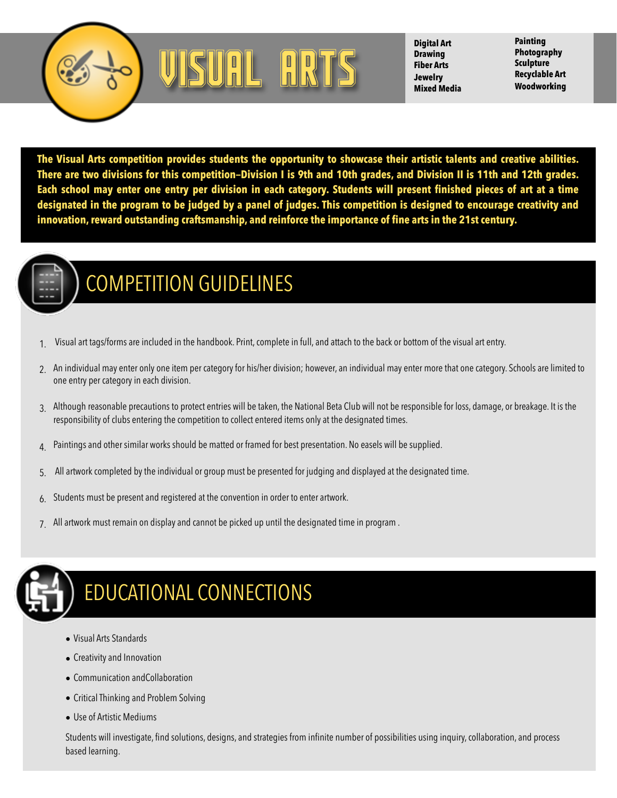



**Digital Art Drawing Fiber Arts Jewelry Mixed Media**

**Painting Photography Sculpture Recyclable Art Woodworking** 

**The Visual Arts competition provides students the opportunity to showcase their artistic talents and creative abilities. There are two divisions for this competition—Division I is 9th and 10th grades, and Division II is 11th and 12th grades. Each school may enter one entry per division in each category. Students will present finished pieces of art at a time designated in the program to be judged by a panel of judges. This competition is designed to encourage creativity and innovation, reward outstanding craftsmanship, and reinforce the importance of fine arts in the 21st century.** 



## COMPETITION GUIDELINES

- 1. Visual art tags/forms are included in the handbook. Print, complete in full, and attach to the back or bottom of the visual art entry.
- 2. An individual may enter only one item per category for his/her division; however, an individual may enter more that one category. Schools are limited to one entry per category in each division.
- 3. Although reasonable precautions to protect entries will be taken, the National Beta Club will not be responsible for loss, damage, or breakage. It is the responsibility of clubs entering the competition to collect entered items only at the designated times.
- $\Delta$  Paintings and other similar works should be matted or framed for best presentation. No easels will be supplied.
- 5. All artwork completed by the individual or group must be presented for judging and displayed at the designated time.
- 6. Students must be present and registered at the convention in order to enter artwork.
- All artwork must remain on display and cannot be picked up until the designated time in program.



## EDUCATIONAL CONNECTIONS

- Visual Arts Standards
- Creativity and Innovation
- Communication andCollaboration
- Critical Thinking and Problem Solving
- Use of Artistic Mediums

Students will investigate, find solutions, designs, and strategies from infinite number of possibilities using inquiry, collaboration, and process based learning.